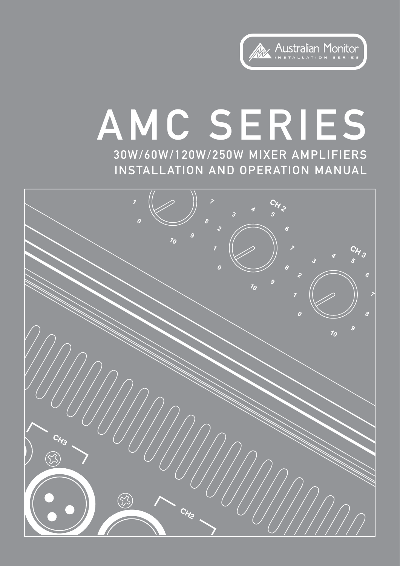

# AMC SERIES 30W/60W/120W/250W MIXER AMPLIFIERS INSTALLATION AND OPERATION MANUAL

 $7<sub>0</sub>$ CH<sub>3</sub>  $\overline{\mathcal{L}}$  $v^{\prime}_0$  $\ddot{\theta}$  $7<sub>0</sub>$  $\bigotimes$  $\bigotimes$ CHE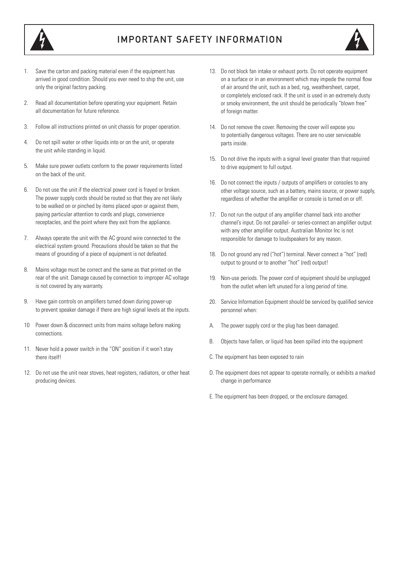

## IMPORTANT SAFETY INFORMATION



- Save the carton and packing material even if the equipment has arrived in good condition. Should you ever need to ship the unit, use only the original factory packing.
- 2. Read all documentation before operating your equipment. Retain all documentation for future reference.
- 3. Follow all instructions printed on unit chassis for proper operation.
- 4. Do not spill water or other liquids into or on the unit, or operate the unit while standing in liquid.
- 5. Make sure power outlets conform to the power requirements listed on the back of the unit.
- 6. Do not use the unit if the electrical power cord is frayed or broken. The power supply cords should be routed so that they are not likely to be walked on or pinched by items placed upon or against them, paying particular attention to cords and plugs, convenience receptacles, and the point where they exit from the appliance.
- 7. Always operate the unit with the AC ground wire connected to the electrical system ground. Precautions should be taken so that the means of grounding of a piece of equipment is not defeated.
- 8. Mains voltage must be correct and the same as that printed on the rear of the unit. Damage caused by connection to improper AC voltage is not covered by any warranty.
- 9. Have gain controls on amplifiers turned down during power-up to prevent speaker damage if there are high signal levels at the inputs.
- 10 Power down & disconnect units from mains voltage before making connections.
- 11. Never hold a power switch in the "ON" position if it won't stay there itself!
- 12. Do not use the unit near stoves, heat registers, radiators, or other heat producing devices.
- 13. Do not block fan intake or exhaust ports. Do not operate equipment on a surface or in an environment which may impede the normal flow of air around the unit, such as a bed, rug, weathersheet, carpet, or completely enclosed rack. If the unit is used in an extremely dusty or smoky environment, the unit should be periodically "blown free" of foreign matter.
- 14. Do not remove the cover. Removing the cover will expose you to potentially dangerous voltages. There are no user serviceable parts inside.
- 15. Do not drive the inputs with a signal level greater than that required to drive equipment to full output.
- 16. Do not connect the inputs / outputs of amplifiers or consoles to any other voltage source, such as a battery, mains source, or power supply, regardless of whether the amplifier or console is turned on or off.
- 17. Do not run the output of any amplifier channel back into another channel's input. Do not parallel- or series-connect an amplifier output with any other amplifier output. Australian Monitor Inc is not responsible for damage to loudspeakers for any reason.
- 18. Do not ground any red ("hot") terminal. Never connect a "hot" (red) output to ground or to another "hot" (red) output!
- 19. Non-use periods. The power cord of equipment should be unplugged from the outlet when left unused for a long period of time.
- 20. Service Information Equipment should be serviced by qualified service personnel when:
- A. The power supply cord or the plug has been damaged.
- B. Objects have fallen, or liquid has been spilled into the equipment
- C. The equipment has been exposed to rain
- D. The equipment does not appear to operate normally, or exhibits a marked change in performance
- E. The equipment has been dropped, or the enclosure damaged.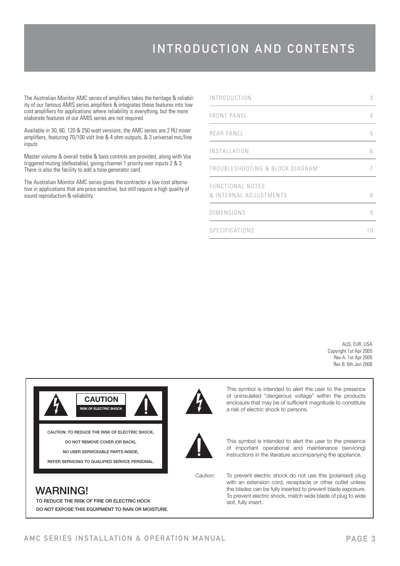The Australian Monitor AMC series of amplifiers takes the heritage & reliability of our famous AMIS series amplifiers & integrates these features into low cost amplifiers for applications where reliability is everything, but the more elaborate features of our AMIS series are not required.

Available in 30, 60, 120 & 250 watt versions, the AMC series are 2 RU mixer amplifiers, featuring 70/100 volt line & 4 ohm outputs, & 3 universal mic/line inputs

Master volume & overall treble & bass controls are provided, along with Vox triggered muting (defeatable), giving channel 1 priority over inputs 2 & 3. There is also the facility to add a tone generator card.

The Australian Monitor AMC series gives the contractor a low cost alternative in applications that are price sensitive, but still require a high quality of sound reproduction & reliability.

| <b>INTRODUCTION</b>                        | 3          |
|--------------------------------------------|------------|
| <b>FRONT PANEL</b>                         | 4          |
| REAR PANEL                                 | 5          |
| INSTALLATION                               | $\sqrt{2}$ |
| TROUBLESHOOTING & BLOCK DIAGRAM            |            |
| FUNCTIONAL NOTES<br>& INTERNAL ADJUSTMENTS | 8          |
| DIMENSIONS                                 | 9          |
| SPECIFICATIONS                             | 10         |

AUS, EUR, USA Copyright 1st Apr 2005 Rev A: 1st Apr 2005 Rev B: 6th Jun 2006



**CAUTION RISK OF ELECTRIC SHOCK**

**CAUTION: TO REDUCE THE RISK OF ELECTRIC SHOCK, DO NOT REMOVE COVER (OR BACK), NO USER SERVICEABLE PARTS INSIDE,**

**REFER SERVICING TO QUALIFIED SERVICE PERSONAL.**



This symbol is intended to alert the user to the presence of uninsulated "dangerous voltage" within the products enclosure that may be of sufficient magnitude to constitute a risk of electric shock to persons.



This symbol is intended to alert the user to the presence of important operational and maintenance (servicing) instructions in the literature accompanying the appliance.

Caution:

slot, fully insert.

To prevent electric shock do not use this (polarised) plug with an extension cord, receptacle or other outlet unless the blades can be fully inserted to prevent blade exposure. To prevent electric shock, match wide blade of plug to wide

## **WARNING!**

**TO REDUCE THE RISK OF FIRE OR ELECTRIC HOCK DO NOT EXPOSE THIS EQUIPMENT TO RAIN OR MOISTURE.**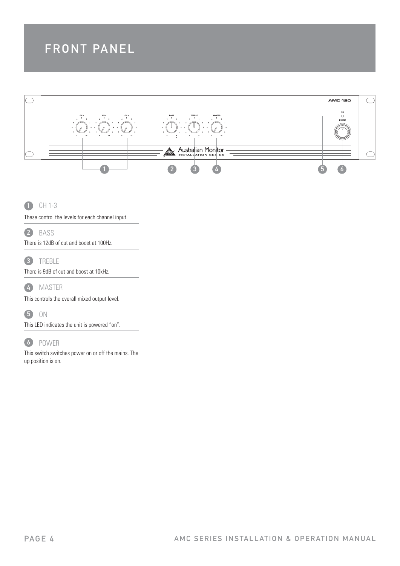## FRONT PANEL



 CH 1-3  $\bullet$ 

These control the levels for each channel input.



There is 12dB of cut and boost at 100Hz.

 TREBLE 3

There is 9dB of cut and boost at 10kHz.



This controls the overall mixed output level.

5 ON

This LED indicates the unit is powered "on".

## POWER 6

This switch switches power on or off the mains. The up position is on.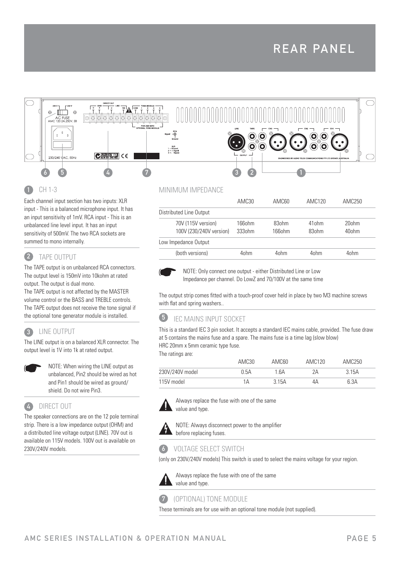

#### CH 1-3 4

Each channel input section has two inputs: XLR input - This is a balanced microphone input. It has an input sensitivity of 1mV. RCA input - This is an unbalanced line level input. It has an input sensitivity of 500mV. The two RCA sockets are summed to mono internally.

#### TAPE OUTPUT 2

The TAPE output is on unbalanced RCA connectors. The output level is 150mV into 10kohm at rated output. The output is dual mono.

The TAPE output is not affected by the MASTER volume control or the BASS and TREBLE controls. The TAPE output does not receive the tone signal if the optional tone generator module is installed.

#### LINE OUTPUT 3

The LINE output is on a balanced XLR connector. The output level is 1V into 1k at rated output.



 NOTE: When wiring the LINE output as unbalanced, Pin2 should be wired as hot and Pin1 should be wired as ground/ shield. Do not wire Pin3.

#### DIRECT OUT 4

The speaker connections are on the 12 pole terminal strip. There is a low impedance output (OHM) and a distributed line voltage output (LINE). 70V out is available on 115V models. 100V out is available on 230V/240V models.

### MINIMUM IMPEDANCE

|                         | AMC <sub>30</sub> | AMC60            | AMC <sub>120</sub> | AMC250            |
|-------------------------|-------------------|------------------|--------------------|-------------------|
| Distributed Line Output |                   |                  |                    |                   |
| 70V (115V version)      | 166ohm            | 83ohm            | 41 <sub>ohm</sub>  | 20ohm             |
| 100V (230/240V version) | 3330hm            | 166ohm           | 83ohm              | 40 <sub>ohm</sub> |
| Low Impedance Output    |                   |                  |                    |                   |
| (both versions)         | 40hm              | 4 <sub>ohm</sub> | 40hm               | 4 <sub>ohm</sub>  |
|                         |                   |                  |                    |                   |



 NOTE: Only connect one output - either Distributed Line or Low Impedance per channel. Do LowZ and 70/100V at the same time

The output strip comes fitted with a touch-proof cover held in place by two M3 machine screws with flat and spring washers..

#### 6 IEC MAINS INPUT SOCKET

This is a standard IEC 3 pin socket. It accepts a standard IEC mains cable, provided. The fuse draw at 5 contains the mains fuse and a spare. The mains fuse is a time lag (slow blow) HRC 20mm x 5mm ceramic type fuse.

The ratings are:

|                 | AMC30 | AMC60   | AMC <sub>120</sub> | AMC250 |  |
|-----------------|-------|---------|--------------------|--------|--|
| 230V/240V model | 0.5A  | 1 6A    | 2Α                 | 3.15A  |  |
| 115V model      | 1Α    | 3 1 5 A | 4Α                 | 6.3A   |  |



 Always replace the fuse with one of the same value and type.



NOTE: Always disconnect power to the amplifier before replacing fuses.

## 6 VOLTAGE SELECT SWITCH

(only on 230V/240V models) This switch is used to select the mains voltage for your region.



 Always replace the fuse with one of the same value and type.

#### (OPTIONAL) TONE MODULE 7

These terminals are for use with an optional tone module (not supplied).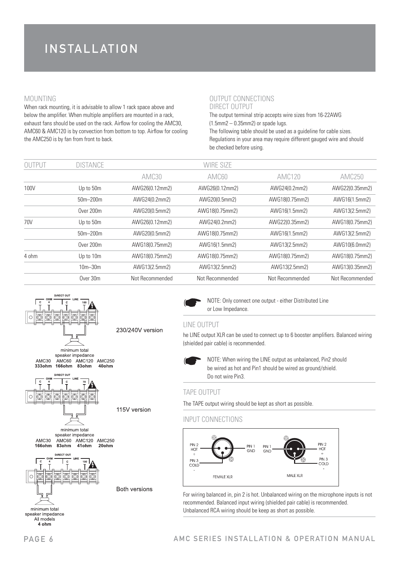### MOUNTING

When rack mounting, it is advisable to allow 1 rack space above and below the amplifier. When multiple amplifiers are mounted in a rack, exhaust fans should be used on the rack. Airflow for cooling the AMC30, AMC60 & AMC120 is by convection from bottom to top. Airflow for cooling the AMC250 is by fan from front to back.

### OUTPUT CONNECTIONS DIRECT OUTPUT

The output terminal strip accepts wire sizes from 16-22AWG  $(1.5$ mm $2 - 0.35$ mm $2)$  or spade lugs. The following table should be used as a guideline for cable sizes. Regulations in your area may require different gauged wire and should be checked before using.

| <b>OUTPUT</b> | <b>DISTANCE</b> |                 | WIRE SIZE       |                 |                 |
|---------------|-----------------|-----------------|-----------------|-----------------|-----------------|
|               |                 | AMC30           | AMC60           | <b>AMC120</b>   | <b>AMC250</b>   |
| 100V          | Up to 50m       | AWG26(0.12mm2)  | AWG26(0.12mm2)  | AWG24(0.2mm2)   | AWG22(0.35mm2)  |
|               | $50m - 200m$    | AWG24(0.2mm2)   | AWG20(0.5mm2)   | AWG18(0.75mm2)  | AWG16(1.5mm2)   |
|               | Over 200m       | AWG20(0.5mm2)   | AWG18(0.75mm2)  | AWG16(1.5mm2)   | AWG13(2.5mm2)   |
| 70V           | Up to 50m       | AWG26(0.12mm2)  | AWG24(0.2mm2)   | AWG22(0.35mm2)  | AWG18(0.75mm2)  |
|               | $50m - 200m$    | AWG20(0.5mm2)   | AWG18(0.75mm2)  | AWG16(1.5mm2)   | AWG13(2.5mm2)   |
|               | Over 200m       | AWG18(0.75mm2)  | AWG16(1.5mm2)   | AWG13(2.5mm2)   | AWG10(6.0mm2)   |
| 4 ohm         | Up to 10m       | AWG18(0.75mm2)  | AWG18(0.75mm2)  | AWG18(0.75mm2)  | AWG18(0.75mm2)  |
|               | $10m - 30m$     | AWG13(2.5mm2)   | AWG13(2.5mm2)   | AWG13(2.5mm2)   | AWG13(0.35mm2)  |
|               | Over 30m        | Not Recommended | Not Recommended | Not Recommended | Not Recommended |



 NOTE: Only connect one output - either Distributed Line or Low Impedance.

#### LINE OUTPUT

he LINE output XLR can be used to connect up to 6 booster amplifiers. Balanced wiring (shielded pair cable) is recommended.



 NOTE: When wiring the LINE output as unbalanced, Pin2 should be wired as hot and Pin1 should be wired as ground/shield. Do not wire Pin3.

#### TAPE OUTPUT

The TAPE output wiring should be kept as short as possible.

#### INPUT CONNECTIONS



For wiring balanced in, pin 2 is hot. Unbalanced wiring on the microphone inputs is not recommended. Balanced input wiring (shielded pair cable) is recommended. Unbalanced RCA wiring should be keep as short as possible.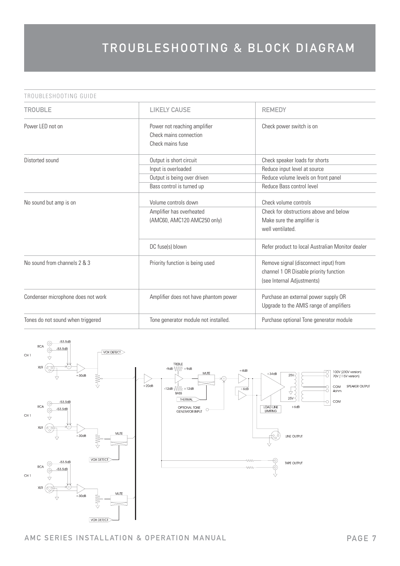#### TROUBLESHOOTING GUIDE

| TROUBLE                            | <b>LIKELY CAUSE</b>                                                             | <b>REMEDY</b>                                                                                                     |
|------------------------------------|---------------------------------------------------------------------------------|-------------------------------------------------------------------------------------------------------------------|
| Power LED not on                   | Power not reaching amplifier<br>Check mains connection<br>Check mains fuse      | Check power switch is on                                                                                          |
| Distorted sound                    | Output is short circuit<br>Input is overloaded                                  | Check speaker loads for shorts<br>Reduce input level at source                                                    |
|                                    | Output is being over driven<br>Bass control is turned up                        | Reduce volume levels on front panel<br>Reduce Bass control level                                                  |
| No sound but amp is on             | Volume controls down<br>Amplifier has overheated<br>(AMC60, AMC120 AMC250 only) | Check volume controls<br>Check for obstructions above and below<br>Make sure the amplifier is<br>well ventilated. |
|                                    | DC fuse(s) blown                                                                | Refer product to local Australian Monitor dealer                                                                  |
| No sound from channels 2 & 3       | Priority function is being used                                                 | Remove signal (disconnect input) from<br>channel 1 OR Disable priority function<br>(see Internal Adjustments)     |
| Condenser microphone does not work | Amplifier does not have phantom power                                           | Purchase an external power supply OR<br>Upgrade to the AMIS range of amplifiers                                   |
| Tones do not sound when triggered  | Tone generator module not installed.                                            | Purchase optional Tone generator module                                                                           |



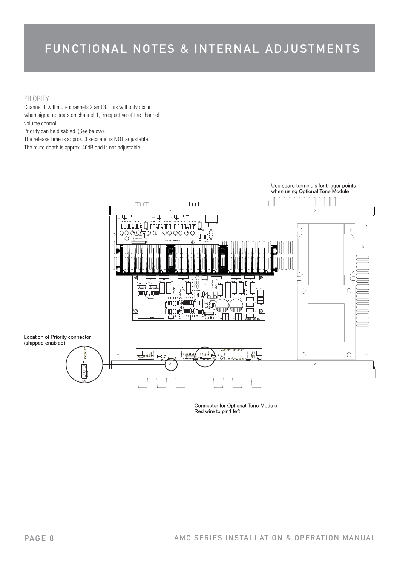## FUNCTIONAL NOTES & INTERNAL ADJUSTMENTS

#### PRIORITY

Channel 1 will mute channels 2 and 3. This will only occur when signal appears on channel 1, irrespective of the channel volume control.

Priority can be disabled. (See below).

The release time is approx. 3 secs and is NOT adjustable.

The mute depth is approx. 40dB and is not adjustable.



Connector for Optional Tone Module Red wire to pin1 left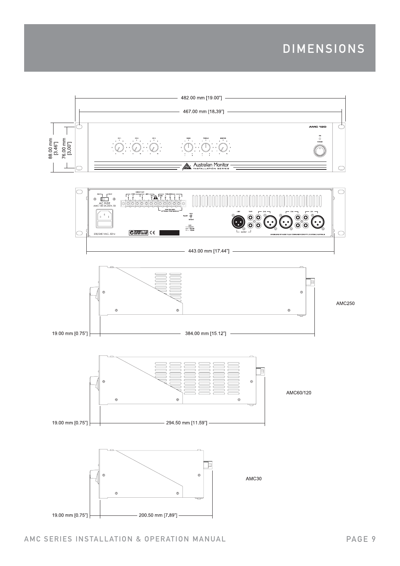## DIMENSIONS

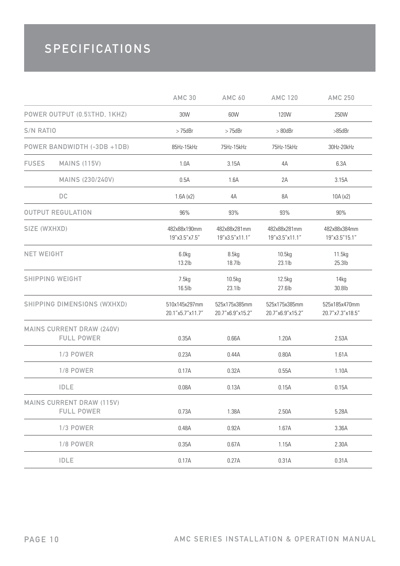## **SPECIFICATIONS**

|                   |                                                       | <b>AMC 30</b>                     | <b>AMC 60</b>                     | <b>AMC 120</b>                    | <b>AMC 250</b>                    |
|-------------------|-------------------------------------------------------|-----------------------------------|-----------------------------------|-----------------------------------|-----------------------------------|
|                   | POWER OUTPUT (0.5%THD, 1KHZ)                          | 30W                               | 60W                               | 120W                              | 250W                              |
| S/N RATIO         |                                                       | $>75$ d $Br$                      | $>75$ d $Br$                      | $> 80$ d $Br$                     | $>85$ d $Br$                      |
|                   | POWER BANDWIDTH (-3DB +1DB)                           | 85Hz-15kHz                        | 75Hz-15kHz                        | 75Hz-15kHz                        | 30Hz-20kHz                        |
| <b>FUSES</b>      | <b>MAINS (115V)</b>                                   | 1.0A                              | 3.15A                             | 4A                                | 6.3A                              |
|                   | MAINS (230/240V)                                      | 0.5A                              | 1.6A                              | 2A                                | 3.15A                             |
|                   | $D C$                                                 | 1.6A(x2)                          | 4A                                | 8A                                | 10A(x2)                           |
|                   | <b>OUTPUT REGULATION</b>                              | 96%                               | 93%                               | 93%                               | 90%                               |
| SIZE (WXHXD)      |                                                       | 482x88x190mm<br>19"x3.5"x7.5"     | 482x88x281mm<br>19"x3.5"x11.1"    | 482x88x281mm<br>19"x3.5"x11.1"    | 482x88x384mm<br>19"x3.5"15.1"     |
| <b>NET WEIGHT</b> |                                                       | 6.0kg<br>13.2lb                   | 8.5kg<br>18.7lb                   | 10.5kg<br>23.1lb                  | 11.5kg<br>$25.3$ lb               |
|                   | <b>SHIPPING WEIGHT</b>                                | 7.5kg<br>16.5lb                   | 10.5kg<br>23.1lb                  | 12.5kg<br>27.6lb                  | 14kg<br>30.8lb                    |
|                   | SHIPPING DIMENSIONS (WXHXD)                           | 510x145x297mm<br>20.1"x5.7"x11.7" | 525x175x385mm<br>20.7"x6.9"x15.2" | 525x175x385mm<br>20.7"x6.9"x15.2" | 525x185x470mm<br>20.7"x7.3"x18.5" |
|                   | <b>MAINS CURRENT DRAW (240V)</b><br><b>FULL POWER</b> | 0.35A                             | 0.66A                             | 1.20A                             | 2.53A                             |
|                   | 1/3 POWER                                             | 0.23A                             | 0.44A                             | 0.80A                             | 1.61A                             |
|                   | 1/8 POWER                                             | 0.17A                             | 0.32A                             | 0.55A                             | 1.10A                             |
|                   | <b>IDLE</b>                                           | 0.08A                             | 0.13A                             | 0.15A                             | 0.15A                             |
|                   | <b>MAINS CURRENT DRAW (115V)</b><br><b>FULL POWER</b> | 0.73A                             | 1.38A                             | 2.50A                             | 5.28A                             |
|                   | <b>1/3 POWER</b>                                      | 0.48A                             | 0.92A                             | 1.67A                             | 3.36A                             |
|                   | 1/8 POWER                                             | 0.35A                             | 0.67A                             | 1.15A                             | 2.30A                             |
|                   | <b>IDLE</b>                                           | 0.17A                             | 0.27A                             | 0.31A                             | 0.31A                             |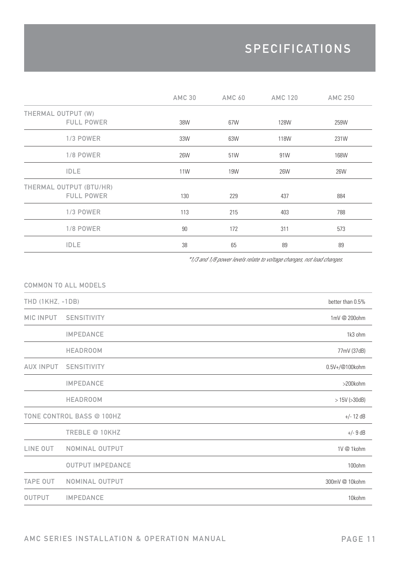## **SPECIFICATIONS**

|                         | <b>AMC 30</b> | <b>AMC 60</b> | <b>AMC 120</b> | <b>AMC 250</b> |
|-------------------------|---------------|---------------|----------------|----------------|
| THERMAL OUTPUT (W)      |               |               |                |                |
| <b>FULL POWER</b>       | 38W           | 67W           | 128W           | 259W           |
| 1/3 POWER               | 33W           | 63W           | 118W           | 231W           |
| 1/8 POWER               | 26W           | 51W           | 91W            | 168W           |
| <b>IDLE</b>             | <b>11W</b>    | 19W           | 26W            | 26W            |
| THERMAL OUTPUT (BTU/HR) |               |               |                |                |
| <b>FULL POWER</b>       | 130           | 229           | 437            | 884            |
| 1/3 POWER               | 113           | 215           | 403            | 788            |
| 1/8 POWER               | 90            | 172           | 311            | 573            |
| <b>IDLE</b>             | 38            | 65            | 89             | 89             |

\*1/3 and 1/8 power levels relate to voltage changes, not load changes.

|                  | <b>COMMON TO ALL MODELS</b> |                     |
|------------------|-----------------------------|---------------------|
| THD (1KHZ, -1DB) |                             | better than 0.5%    |
| <b>MIC INPUT</b> | <b>SENSITIVITY</b>          | 1mV @ 200ohm        |
|                  | <b>IMPEDANCE</b>            | 1k3 ohm             |
|                  | <b>HEADROOM</b>             | 77mV (37dB)         |
| <b>AUX INPUT</b> | <b>SENSITIVITY</b>          | 0.5V+/@100kohm      |
|                  | <b>IMPEDANCE</b>            | >200kohm            |
|                  | <b>HEADROOM</b>             | $> 15V$ ( $>30dB$ ) |
|                  | TONE CONTROL BASS @ 100HZ   | $+/- 12 dB$         |
|                  | TREBLE @ 10KHZ              | $+/-9dB$            |
| LINE OUT         | NOMINAL OUTPUT              | 1V @ 1kohm          |
|                  | <b>OUTPUT IMPEDANCE</b>     | 100ohm              |
| <b>TAPE OUT</b>  | NOMINAL OUTPUT              | 300mV @ 10kohm      |
| <b>OUTPUT</b>    | <b>IMPEDANCE</b>            | 10kohm              |

AMC SERIES INSTALLATION & OPERATION MANUAL PAGE 11